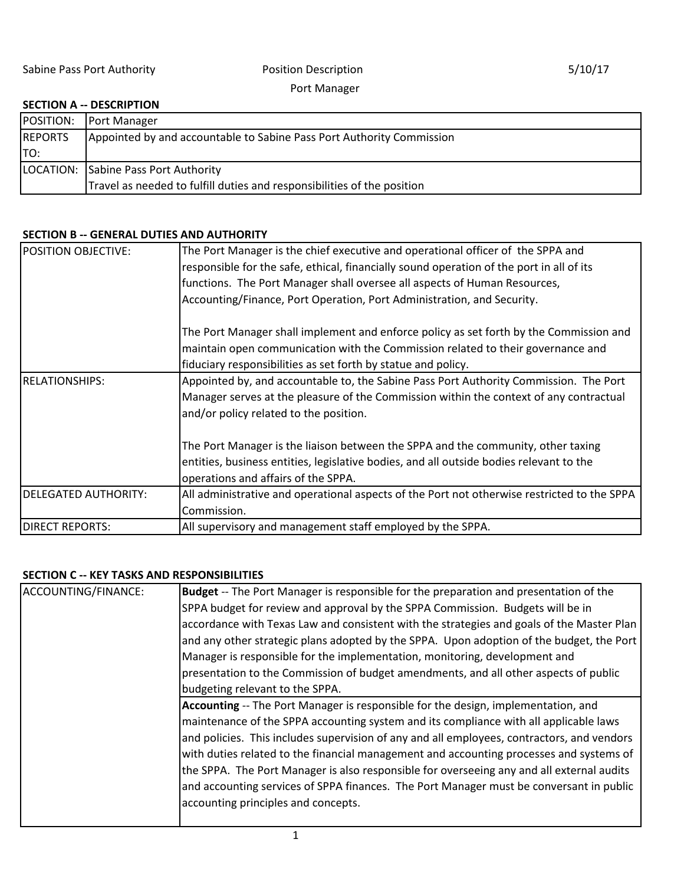Port Manager

## **SECTION A -- DESCRIPTION**

| POSITION:      | Port Manager                                                            |
|----------------|-------------------------------------------------------------------------|
| <b>REPORTS</b> | Appointed by and accountable to Sabine Pass Port Authority Commission   |
| ITO:           |                                                                         |
|                | LOCATION: Sabine Pass Port Authority                                    |
|                | Travel as needed to fulfill duties and responsibilities of the position |

## **SECTION B -- GENERAL DUTIES AND AUTHORITY**

| <b>POSITION OBJECTIVE:</b>                                                           | The Port Manager is the chief executive and operational officer of the SPPA and<br>responsible for the safe, ethical, financially sound operation of the port in all of its<br>functions. The Port Manager shall oversee all aspects of Human Resources,<br>Accounting/Finance, Port Operation, Port Administration, and Security. |  |  |
|--------------------------------------------------------------------------------------|------------------------------------------------------------------------------------------------------------------------------------------------------------------------------------------------------------------------------------------------------------------------------------------------------------------------------------|--|--|
|                                                                                      | The Port Manager shall implement and enforce policy as set forth by the Commission and<br>maintain open communication with the Commission related to their governance and<br>fiduciary responsibilities as set forth by statue and policy.                                                                                         |  |  |
| <b>RELATIONSHIPS:</b>                                                                | Appointed by, and accountable to, the Sabine Pass Port Authority Commission. The Port<br>Manager serves at the pleasure of the Commission within the context of any contractual<br>and/or policy related to the position.                                                                                                          |  |  |
|                                                                                      | The Port Manager is the liaison between the SPPA and the community, other taxing<br>entities, business entities, legislative bodies, and all outside bodies relevant to the<br>operations and affairs of the SPPA.                                                                                                                 |  |  |
| <b>DELEGATED AUTHORITY:</b>                                                          | All administrative and operational aspects of the Port not otherwise restricted to the SPPA<br>Commission.                                                                                                                                                                                                                         |  |  |
| <b>DIRECT REPORTS:</b><br>All supervisory and management staff employed by the SPPA. |                                                                                                                                                                                                                                                                                                                                    |  |  |

## **SECTION C -- KEY TASKS AND RESPONSIBILITIES**

| ACCOUNTING/FINANCE: | Budget -- The Port Manager is responsible for the preparation and presentation of the      |
|---------------------|--------------------------------------------------------------------------------------------|
|                     | SPPA budget for review and approval by the SPPA Commission. Budgets will be in             |
|                     | accordance with Texas Law and consistent with the strategies and goals of the Master Plan  |
|                     | and any other strategic plans adopted by the SPPA. Upon adoption of the budget, the Port   |
|                     | Manager is responsible for the implementation, monitoring, development and                 |
|                     | presentation to the Commission of budget amendments, and all other aspects of public       |
|                     | budgeting relevant to the SPPA.                                                            |
|                     | Accounting -- The Port Manager is responsible for the design, implementation, and          |
|                     | maintenance of the SPPA accounting system and its compliance with all applicable laws      |
|                     | and policies. This includes supervision of any and all employees, contractors, and vendors |
|                     | with duties related to the financial management and accounting processes and systems of    |
|                     | the SPPA. The Port Manager is also responsible for overseeing any and all external audits  |
|                     | and accounting services of SPPA finances. The Port Manager must be conversant in public    |
|                     | accounting principles and concepts.                                                        |
|                     |                                                                                            |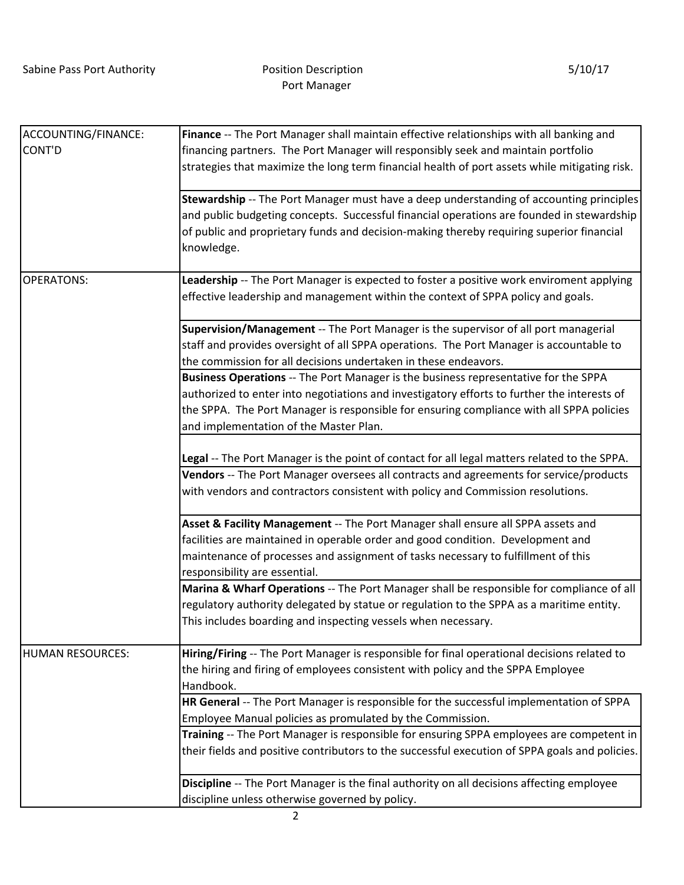| ACCOUNTING/FINANCE:     | Finance -- The Port Manager shall maintain effective relationships with all banking and                                                                                                                                                                                                                                  |  |  |  |
|-------------------------|--------------------------------------------------------------------------------------------------------------------------------------------------------------------------------------------------------------------------------------------------------------------------------------------------------------------------|--|--|--|
| CONT'D                  | financing partners. The Port Manager will responsibly seek and maintain portfolio                                                                                                                                                                                                                                        |  |  |  |
|                         | strategies that maximize the long term financial health of port assets while mitigating risk.                                                                                                                                                                                                                            |  |  |  |
|                         | Stewardship -- The Port Manager must have a deep understanding of accounting principles<br>and public budgeting concepts. Successful financial operations are founded in stewardship<br>of public and proprietary funds and decision-making thereby requiring superior financial<br>knowledge.                           |  |  |  |
| <b>OPERATONS:</b>       | Leadership -- The Port Manager is expected to foster a positive work enviroment applying<br>effective leadership and management within the context of SPPA policy and goals.                                                                                                                                             |  |  |  |
|                         | Supervision/Management -- The Port Manager is the supervisor of all port managerial<br>staff and provides oversight of all SPPA operations. The Port Manager is accountable to<br>the commission for all decisions undertaken in these endeavors.                                                                        |  |  |  |
|                         | Business Operations -- The Port Manager is the business representative for the SPPA<br>authorized to enter into negotiations and investigatory efforts to further the interests of<br>the SPPA. The Port Manager is responsible for ensuring compliance with all SPPA policies<br>and implementation of the Master Plan. |  |  |  |
|                         | Legal -- The Port Manager is the point of contact for all legal matters related to the SPPA.<br>Vendors -- The Port Manager oversees all contracts and agreements for service/products<br>with vendors and contractors consistent with policy and Commission resolutions.                                                |  |  |  |
|                         | Asset & Facility Management -- The Port Manager shall ensure all SPPA assets and<br>facilities are maintained in operable order and good condition. Development and<br>maintenance of processes and assignment of tasks necessary to fulfillment of this<br>responsibility are essential.                                |  |  |  |
|                         | Marina & Wharf Operations -- The Port Manager shall be responsible for compliance of all<br>regulatory authority delegated by statue or regulation to the SPPA as a maritime entity.<br>This includes boarding and inspecting vessels when necessary.                                                                    |  |  |  |
| <b>HUMAN RESOURCES:</b> | Hiring/Firing -- The Port Manager is responsible for final operational decisions related to<br>the hiring and firing of employees consistent with policy and the SPPA Employee<br>Handbook.                                                                                                                              |  |  |  |
|                         | HR General -- The Port Manager is responsible for the successful implementation of SPPA<br>Employee Manual policies as promulated by the Commission.<br>Training -- The Port Manager is responsible for ensuring SPPA employees are competent in                                                                         |  |  |  |
|                         | their fields and positive contributors to the successful execution of SPPA goals and policies.                                                                                                                                                                                                                           |  |  |  |
|                         | Discipline -- The Port Manager is the final authority on all decisions affecting employee<br>discipline unless otherwise governed by policy.                                                                                                                                                                             |  |  |  |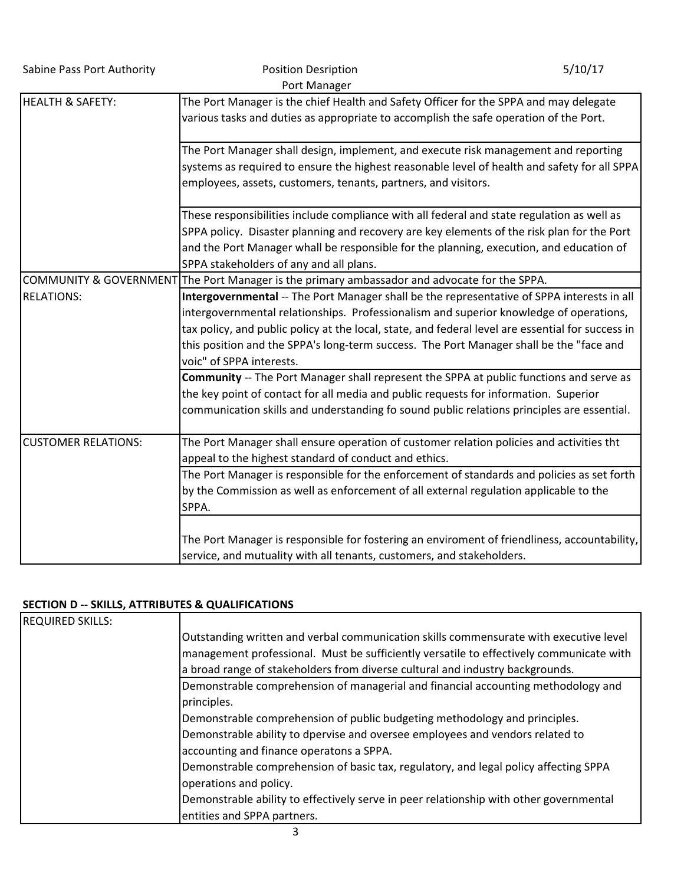Sabine Pass Port Authority **Position Desription** Position Desription **5/10/17** 

|                             | Port Manager                                                                                                                                                                                                                                                                                                                                                                                                     |
|-----------------------------|------------------------------------------------------------------------------------------------------------------------------------------------------------------------------------------------------------------------------------------------------------------------------------------------------------------------------------------------------------------------------------------------------------------|
| <b>HEALTH &amp; SAFETY:</b> | The Port Manager is the chief Health and Safety Officer for the SPPA and may delegate<br>various tasks and duties as appropriate to accomplish the safe operation of the Port.                                                                                                                                                                                                                                   |
|                             | The Port Manager shall design, implement, and execute risk management and reporting                                                                                                                                                                                                                                                                                                                              |
|                             | systems as required to ensure the highest reasonable level of health and safety for all SPPA<br>employees, assets, customers, tenants, partners, and visitors.                                                                                                                                                                                                                                                   |
|                             | These responsibilities include compliance with all federal and state regulation as well as<br>SPPA policy. Disaster planning and recovery are key elements of the risk plan for the Port                                                                                                                                                                                                                         |
|                             | and the Port Manager whall be responsible for the planning, execution, and education of<br>SPPA stakeholders of any and all plans.                                                                                                                                                                                                                                                                               |
|                             | COMMUNITY & GOVERNMENT The Port Manager is the primary ambassador and advocate for the SPPA.                                                                                                                                                                                                                                                                                                                     |
| <b>RELATIONS:</b>           | Intergovernmental -- The Port Manager shall be the representative of SPPA interests in all<br>intergovernmental relationships. Professionalism and superior knowledge of operations,<br>tax policy, and public policy at the local, state, and federal level are essential for success in<br>this position and the SPPA's long-term success. The Port Manager shall be the "face and<br>voic" of SPPA interests. |
|                             | Community -- The Port Manager shall represent the SPPA at public functions and serve as<br>the key point of contact for all media and public requests for information. Superior<br>communication skills and understanding fo sound public relations principles are essential.                                                                                                                                    |
| <b>CUSTOMER RELATIONS:</b>  | The Port Manager shall ensure operation of customer relation policies and activities tht<br>appeal to the highest standard of conduct and ethics.                                                                                                                                                                                                                                                                |
|                             | The Port Manager is responsible for the enforcement of standards and policies as set forth<br>by the Commission as well as enforcement of all external regulation applicable to the<br>SPPA.                                                                                                                                                                                                                     |
|                             | The Port Manager is responsible for fostering an enviroment of friendliness, accountability,<br>service, and mutuality with all tenants, customers, and stakeholders.                                                                                                                                                                                                                                            |

## **SECTION D -- SKILLS, ATTRIBUTES & QUALIFICATIONS**

| <b>REQUIRED SKILLS:</b> |                                                                                         |
|-------------------------|-----------------------------------------------------------------------------------------|
|                         | Outstanding written and verbal communication skills commensurate with executive level   |
|                         | management professional. Must be sufficiently versatile to effectively communicate with |
|                         | a broad range of stakeholders from diverse cultural and industry backgrounds.           |
|                         | Demonstrable comprehension of managerial and financial accounting methodology and       |
|                         | principles.                                                                             |
|                         | Demonstrable comprehension of public budgeting methodology and principles.              |
|                         | Demonstrable ability to dpervise and oversee employees and vendors related to           |
|                         | accounting and finance operatons a SPPA.                                                |
|                         | Demonstrable comprehension of basic tax, regulatory, and legal policy affecting SPPA    |
|                         | operations and policy.                                                                  |
|                         | Demonstrable ability to effectively serve in peer relationship with other governmental  |
|                         | entities and SPPA partners.                                                             |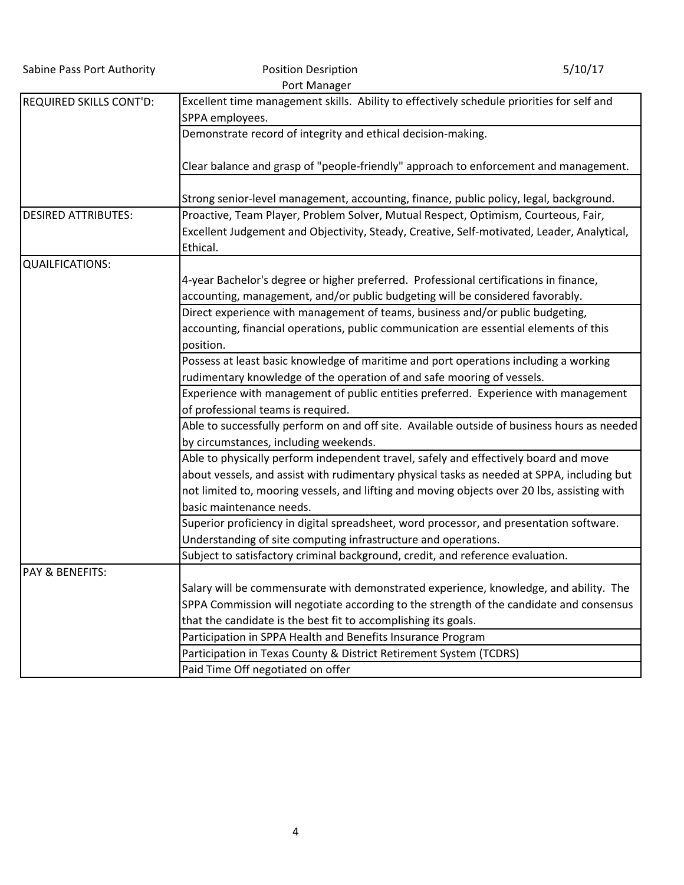| Sabine Pass Port Authority     | <b>Position Desription</b>                                                                                   | 5/10/17 |
|--------------------------------|--------------------------------------------------------------------------------------------------------------|---------|
|                                | Port Manager                                                                                                 |         |
| <b>REQUIRED SKILLS CONT'D:</b> | Excellent time management skills. Ability to effectively schedule priorities for self and<br>SPPA employees. |         |
|                                | Demonstrate record of integrity and ethical decision-making.                                                 |         |
|                                |                                                                                                              |         |
|                                | Clear balance and grasp of "people-friendly" approach to enforcement and management.                         |         |
|                                | Strong senior-level management, accounting, finance, public policy, legal, background.                       |         |
| <b>DESIRED ATTRIBUTES:</b>     | Proactive, Team Player, Problem Solver, Mutual Respect, Optimism, Courteous, Fair,                           |         |
|                                | Excellent Judgement and Objectivity, Steady, Creative, Self-motivated, Leader, Analytical,<br>Ethical.       |         |
| <b>QUAILFICATIONS:</b>         |                                                                                                              |         |
|                                | 4-year Bachelor's degree or higher preferred. Professional certifications in finance,                        |         |
|                                | accounting, management, and/or public budgeting will be considered favorably.                                |         |
|                                | Direct experience with management of teams, business and/or public budgeting,                                |         |
|                                | accounting, financial operations, public communication are essential elements of this                        |         |
|                                | position.                                                                                                    |         |
|                                | Possess at least basic knowledge of maritime and port operations including a working                         |         |
|                                | rudimentary knowledge of the operation of and safe mooring of vessels.                                       |         |
|                                | Experience with management of public entities preferred. Experience with management                          |         |
|                                | of professional teams is required.                                                                           |         |
|                                | Able to successfully perform on and off site. Available outside of business hours as needed                  |         |
|                                | by circumstances, including weekends.                                                                        |         |
|                                | Able to physically perform independent travel, safely and effectively board and move                         |         |
|                                | about vessels, and assist with rudimentary physical tasks as needed at SPPA, including but                   |         |
|                                | not limited to, mooring vessels, and lifting and moving objects over 20 lbs, assisting with                  |         |
|                                | basic maintenance needs.                                                                                     |         |
|                                | Superior proficiency in digital spreadsheet, word processor, and presentation software.                      |         |
|                                | Understanding of site computing infrastructure and operations.                                               |         |
|                                | Subject to satisfactory criminal background, credit, and reference evaluation.                               |         |
| <b>PAY &amp; BENEFITS:</b>     |                                                                                                              |         |
|                                | Salary will be commensurate with demonstrated experience, knowledge, and ability. The                        |         |
|                                | SPPA Commission will negotiate according to the strength of the candidate and consensus                      |         |
|                                | that the candidate is the best fit to accomplishing its goals.                                               |         |
|                                | Participation in SPPA Health and Benefits Insurance Program                                                  |         |
|                                | Participation in Texas County & District Retirement System (TCDRS)                                           |         |
|                                | Paid Time Off negotiated on offer                                                                            |         |